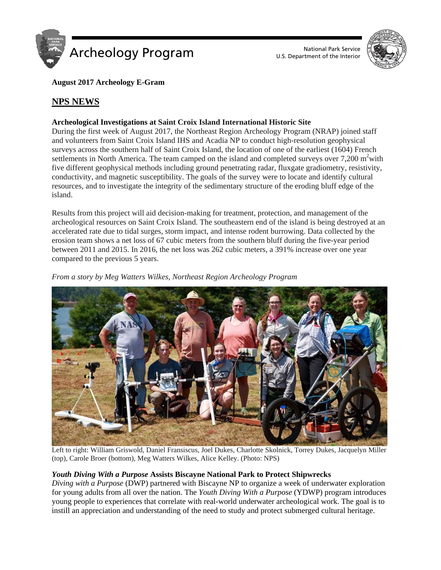



# **August 2017 Archeology E-Gram**

# **NPS NEWS**

# **Archeological Investigations at Saint Croix Island International Historic Site**

During the first week of August 2017, the Northeast Region Archeology Program (NRAP) joined staff and volunteers from Saint Croix Island IHS and Acadia NP to conduct high-resolution geophysical surveys across the southern half of Saint Croix Island, the location of one of the earliest (1604) French settlements in North America. The team camped on the island and completed surveys over  $7,200 \text{ m}^2$  with five different geophysical methods including ground penetrating radar, fluxgate gradiometry, resistivity, conductivity, and magnetic susceptibility. The goals of the survey were to locate and identify cultural resources, and to investigate the integrity of the sedimentary structure of the eroding bluff edge of the island.

Results from this project will aid decision-making for treatment, protection, and management of the archeological resources on Saint Croix Island. The southeastern end of the island is being destroyed at an accelerated rate due to tidal surges, storm impact, and intense rodent burrowing. Data collected by the erosion team shows a net loss of 67 cubic meters from the southern bluff during the five-year period between 2011 and 2015. In 2016, the net loss was 262 cubic meters, a 391% increase over one year compared to the previous 5 years.



*From a story by Meg Watters Wilkes, Northeast Region Archeology Program*

Left to right: William Griswold, Daniel Fransiscus, Joel Dukes, Charlotte Skolnick, Torrey Dukes, Jacquelyn Miller (top), Carole Broer (bottom), Meg Watters Wilkes, Alice Kelley. (Photo: NPS)

# *Youth Diving With a Purpose* **Assists Biscayne National Park to Protect Shipwrecks**

*Diving with a Purpose* (DWP) partnered with Biscayne NP to organize a week of underwater exploration for young adults from all over the nation. The *Youth Diving With a Purpose* (YDWP) program introduces young people to experiences that correlate with real-world underwater archeological work. The goal is to instill an appreciation and understanding of the need to study and protect submerged cultural heritage.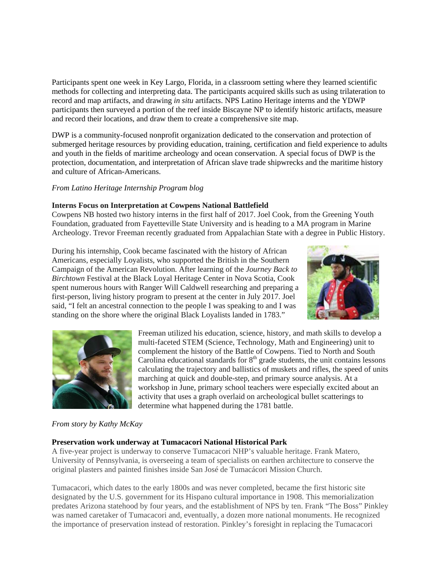Participants spent one week in Key Largo, Florida, in a classroom setting where they learned scientific methods for collecting and interpreting data. The participants acquired skills such as using trilateration to record and map artifacts, and drawing *in situ* artifacts. NPS Latino Heritage interns and the YDWP participants then surveyed a portion of the reef inside Biscayne NP to identify historic artifacts, measure and record their locations, and draw them to create a comprehensive site map.

DWP is a community-focused nonprofit organization dedicated to the conservation and protection of submerged heritage resources by providing education, training, certification and field experience to adults and youth in the fields of maritime archeology and ocean conservation. A special focus of DWP is the protection, documentation, and interpretation of African slave trade shipwrecks and the maritime history and culture of African-Americans.

# *From Latino Heritage Internship Program blog*

# **Interns Focus on Interpretation at Cowpens National Battlefield**

Cowpens NB hosted two history interns in the first half of 2017. Joel Cook, from the Greening Youth Foundation, graduated from Fayetteville State University and is heading to a MA program in Marine Archeology. Trevor Freeman recently graduated from Appalachian State with a degree in Public History.

During his internship, Cook became fascinated with the history of African Americans, especially Loyalists, who supported the British in the Southern Campaign of the American Revolution. After learning of the *Journey Back to Birchtown* Festival at the Black Loyal Heritage Center in Nova Scotia, Cook spent numerous hours with Ranger Will Caldwell researching and preparing a first-person, living history program to present at the center in July 2017. Joel said, "I felt an ancestral connection to the people I was speaking to and I was standing on the shore where the original Black Loyalists landed in 1783."





Freeman utilized his education, science, history, and math skills to develop a multi-faceted STEM (Science, Technology, Math and Engineering) unit to complement the history of the Battle of Cowpens. Tied to North and South Carolina educational standards for  $8<sup>th</sup>$  grade students, the unit contains lessons calculating the trajectory and ballistics of muskets and rifles, the speed of units marching at quick and double-step, and primary source analysis. At a workshop in June, primary school teachers were especially excited about an activity that uses a graph overlaid on archeological bullet scatterings to determine what happened during the 1781 battle.

# *From story by Kathy McKay*

# **Preservation work underway at Tumacacori National Historical Park**

A five-year project is underway to conserve Tumacacori NHP's valuable heritage. Frank Matero, University of Pennsylvania, is overseeing a team of specialists on earthen architecture to conserve the original plasters and painted finishes inside San José de Tumacácori Mission Church.

Tumacacori, which dates to the early 1800s and was never completed, became the first historic site designated by the U.S. government for its Hispano cultural importance in 1908. This memorialization predates Arizona statehood by four years, and the establishment of NPS by ten. Frank "The Boss" Pinkley was named caretaker of Tumacacori and, eventually, a dozen more national monuments. He recognized the importance of preservation instead of restoration. Pinkley's foresight in replacing the Tumacacori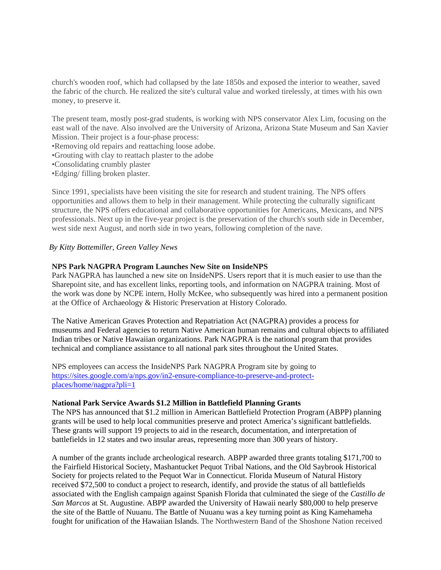church's wooden roof, which had collapsed by the late 1850s and exposed the interior to weather, saved the fabric of the church. He realized the site's cultural value and worked tirelessly, at times with his own money, to preserve it.

The present team, mostly post-grad students, is working with NPS conservator Alex Lim, focusing on the east wall of the nave. Also involved are the University of Arizona, Arizona State Museum and San Xavier Mission. Their project is a four-phase process:

•Removing old repairs and reattaching loose adobe.

•Grouting with clay to reattach plaster to the adobe

•Consolidating crumbly plaster

•Edging/ filling broken plaster.

Since 1991, specialists have been visiting the site for research and student training. The NPS offers opportunities and allows them to help in their management. While protecting the culturally significant structure, the NPS offers educational and collaborative opportunities for Americans, Mexicans, and NPS professionals. Next up in the five-year project is the preservation of the church's south side in December, west side next August, and north side in two years, following completion of the nave.

#### *By Kitty Bottemiller, Green Valley News*

#### **NPS Park NAGPRA Program Launches New Site on InsideNPS**

Park NAGPRA has launched a new site on InsideNPS. Users report that it is much easier to use than the Sharepoint site, and has excellent links, reporting tools, and information on NAGPRA training. Most of the work was done by NCPE intern, Holly McKee, who subsequently was hired into a permanent position at the Office of Archaeology & Historic Preservation at History Colorado.

The Native American Graves Protection and Repatriation Act (NAGPRA) provides a process for museums and Federal agencies to return Native American human remains and cultural objects to affiliated Indian tribes or Native Hawaiian organizations. Park NAGPRA is the national program that provides technical and compliance assistance to all national park sites throughout the United States.

NPS employees can access the InsideNPS Park NAGPRA Program site by going to [https://sites.google.com/a/nps.gov/in2-ensure-compliance-to-preserve-and-protect](https://sites.google.com/a/nps.gov/in2-ensure-compliance-to-preserve-and-protect-places/home/nagpra?pli=1)[places/home/nagpra?pli=1](https://sites.google.com/a/nps.gov/in2-ensure-compliance-to-preserve-and-protect-places/home/nagpra?pli=1)

### **National Park Service Awards \$1.2 Million in Battlefield Planning Grants**

The NPS has announced that \$1.2 million in American Battlefield Protection Program (ABPP) planning grants will be used to help local communities preserve and protect America's significant battlefields. These grants will support 19 projects to aid in the research, documentation, and interpretation of battlefields in 12 states and two insular areas, representing more than 300 years of history.

A number of the grants include archeological research. ABPP awarded three grants totaling \$171,700 to the Fairfield Historical Society, Mashantucket Pequot Tribal Nations, and the Old Saybrook Historical Society for projects related to the Pequot War in Connecticut. Florida Museum of Natural History received \$72,500 to conduct a project to research, identify, and provide the status of all battlefields associated with the English campaign against Spanish Florida that culminated the siege of the *Castillo de San Marcos* at St. Augustine. ABPP awarded the University of Hawaii nearly \$80,000 to help preserve the site of the Battle of Nuuanu. The Battle of Nuuanu was a key turning point as King Kamehameha fought for unification of the Hawaiian Islands. The Northwestern Band of the Shoshone Nation received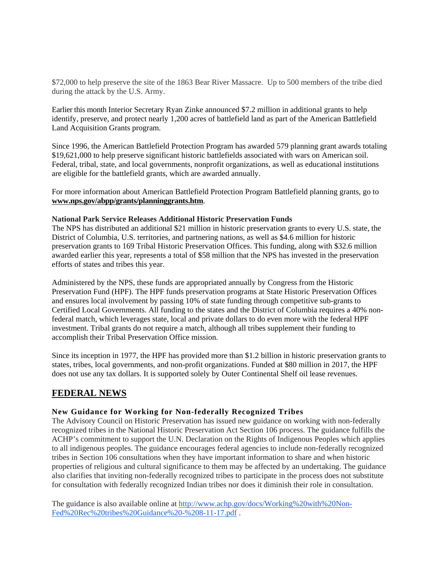\$72,000 to help preserve the site of the 1863 Bear River Massacre. Up to 500 members of the tribe died during the attack by the U.S. Army.

Earlier this month Interior Secretary Ryan Zinke announced \$7.2 million in additional grants to help identify, preserve, and protect nearly 1,200 acres of battlefield land as part of the American Battlefield Land Acquisition Grants program.

Since 1996, the American Battlefield Protection Program has awarded 579 planning grant awards totaling \$19,621,000 to help preserve significant historic battlefields associated with wars on American soil. Federal, tribal, state, and local governments, nonprofit organizations, as well as educational institutions are eligible for the battlefield grants, which are awarded annually.

For more information about American Battlefield Protection Program Battlefield planning grants, go to **[www.nps.gov/abpp/grants/planninggrants.htm](about:blank)**.

### **National Park Service Releases Additional Historic Preservation Funds**

The NPS has distributed an additional \$21 million in historic preservation grants to every U.S. state, the District of Columbia, U.S. territories, and partnering nations, as well as \$4.6 million for historic preservation grants to 169 Tribal Historic Preservation Offices. This funding, along with \$32.6 million awarded earlier this year, represents a total of \$58 million that the NPS has invested in the preservation efforts of states and tribes this year.

Administered by the NPS, these funds are appropriated annually by Congress from the Historic Preservation Fund (HPF). The HPF funds preservation programs at State Historic Preservation Offices and ensures local involvement by passing 10% of state funding through competitive sub-grants to Certified Local Governments. All funding to the states and the District of Columbia requires a 40% nonfederal match, which leverages state, local and private dollars to do even more with the federal HPF investment. Tribal grants do not require a match, although all tribes supplement their funding to accomplish their Tribal Preservation Office mission.

Since its inception in 1977, the HPF has provided more than \$1.2 billion in historic preservation grants to states, tribes, local governments, and non-profit organizations. Funded at \$80 million in 2017, the HPF does not use any tax dollars. It is supported solely by Outer Continental Shelf oil lease revenues.

# **FEDERAL NEWS**

# **New Guidance for Working for Non-federally Recognized Tribes**

The Advisory Council on Historic Preservation has issued new guidance on working with non-federally recognized tribes in the National Historic Preservation Act Section 106 process. The guidance fulfills the ACHP's commitment to support the U.N. Declaration on the Rights of Indigenous Peoples which applies to all indigenous peoples. The guidance encourages federal agencies to include non-federally recognized tribes in Section 106 consultations when they have important information to share and when historic properties of religious and cultural significance to them may be affected by an undertaking. The guidance also clarifies that inviting non-federally recognized tribes to participate in the process does not substitute for consultation with federally recognized Indian tribes nor does it diminish their role in consultation.

The guidance is also available online at [http://www.achp.gov/docs/Working%20with%20Non-](http://www.achp.gov/docs/Working%20with%20Non-Fed%20Rec%20tribes%20Guidance%20-%208-11-17.pdf)[Fed%20Rec%20tribes%20Guidance%20-%208-11-17.pdf](http://www.achp.gov/docs/Working%20with%20Non-Fed%20Rec%20tribes%20Guidance%20-%208-11-17.pdf) .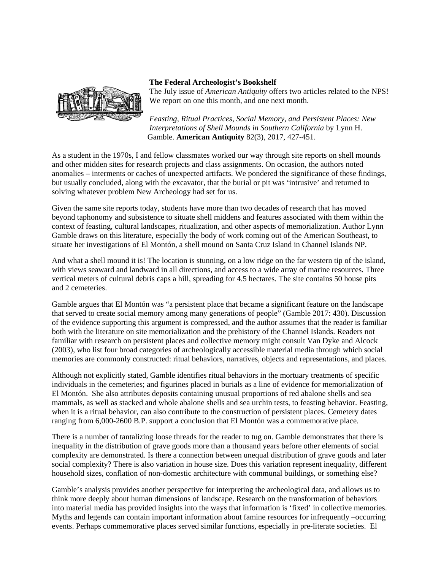

# **The Federal Archeologist's Bookshelf**

The July issue of *American Antiquity* offers two articles related to the NPS! We report on one this month, and one next month.

*Feasting, Ritual Practices, Social Memory, and Persistent Places: New Interpretations of Shell Mounds in Southern California* by Lynn H. Gamble. **American Antiquity** 82(3), 2017, 427-451.

As a student in the 1970s, I and fellow classmates worked our way through site reports on shell mounds and other midden sites for research projects and class assignments. On occasion, the authors noted anomalies – interments or caches of unexpected artifacts. We pondered the significance of these findings, but usually concluded, along with the excavator, that the burial or pit was 'intrusive' and returned to solving whatever problem New Archeology had set for us.

Given the same site reports today, students have more than two decades of research that has moved beyond taphonomy and subsistence to situate shell middens and features associated with them within the context of feasting, cultural landscapes, ritualization, and other aspects of memorialization. Author Lynn Gamble draws on this literature, especially the body of work coming out of the American Southeast, to situate her investigations of El Montón, a shell mound on Santa Cruz Island in Channel Islands NP.

And what a shell mound it is! The location is stunning, on a low ridge on the far western tip of the island, with views seaward and landward in all directions, and access to a wide array of marine resources. Three vertical meters of cultural debris caps a hill, spreading for 4.5 hectares. The site contains 50 house pits and 2 cemeteries.

Gamble argues that El Montón was "a persistent place that became a significant feature on the landscape that served to create social memory among many generations of people" (Gamble 2017: 430). Discussion of the evidence supporting this argument is compressed, and the author assumes that the reader is familiar both with the literature on site memorialization and the prehistory of the Channel Islands. Readers not familiar with research on persistent places and collective memory might consult Van Dyke and Alcock (2003), who list four broad categories of archeologically accessible material media through which social memories are commonly constructed: ritual behaviors, narratives, objects and representations, and places.

Although not explicitly stated, Gamble identifies ritual behaviors in the mortuary treatments of specific individuals in the cemeteries; and figurines placed in burials as a line of evidence for memorialization of El Montón. She also attributes deposits containing unusual proportions of red abalone shells and sea mammals, as well as stacked and whole abalone shells and sea urchin tests, to feasting behavior. Feasting, when it is a ritual behavior, can also contribute to the construction of persistent places. Cemetery dates ranging from 6,000-2600 B.P. support a conclusion that El Montón was a commemorative place.

There is a number of tantalizing loose threads for the reader to tug on. Gamble demonstrates that there is inequality in the distribution of grave goods more than a thousand years before other elements of social complexity are demonstrated. Is there a connection between unequal distribution of grave goods and later social complexity? There is also variation in house size. Does this variation represent inequality, different household sizes, conflation of non-domestic architecture with communal buildings, or something else?

Gamble's analysis provides another perspective for interpreting the archeological data, and allows us to think more deeply about human dimensions of landscape. Research on the transformation of behaviors into material media has provided insights into the ways that information is 'fixed' in collective memories. Myths and legends can contain important information about famine resources for infrequently –occurring events. Perhaps commemorative places served similar functions, especially in pre-literate societies. El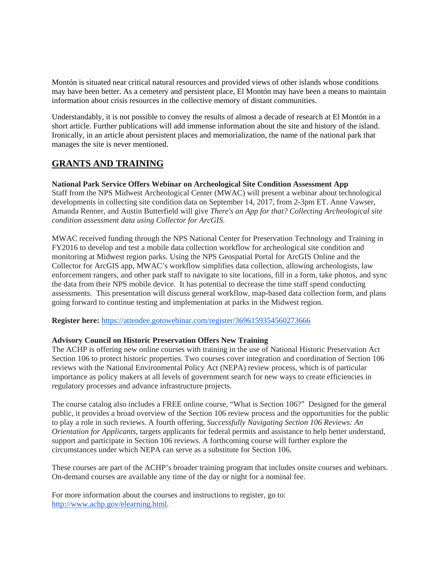Montón is situated near critical natural resources and provided views of other islands whose conditions may have been better. As a cemetery and persistent place, El Montón may have been a means to maintain information about crisis resources in the collective memory of distant communities.

Understandably, it is not possible to convey the results of almost a decade of research at El Montón in a short article. Further publications will add immense information about the site and history of the island. Ironically, in an article about persistent places and memorialization, the name of the national park that manages the site is never mentioned.

# **GRANTS AND TRAINING**

# **National Park Service Offers Webinar on Archeological Site Condition Assessment App**

Staff from the NPS Midwest Archeological Center (MWAC) will present a webinar about technological developments in collecting site condition data on September 14, 2017, from 2-3pm ET. Anne Vawser, Amanda Renner, and Austin Butterfield will give *There's an App for that? Collecting Archeological site condition assessment data using Collector for ArcGIS.*

MWAC received funding through the NPS National Center for Preservation Technology and Training in FY2016 to develop and test a mobile data collection workflow for archeological site condition and monitoring at Midwest region parks. Using the NPS Geospatial Portal for ArcGIS Online and the Collector for ArcGIS app, MWAC's workflow simplifies data collection, allowing archeologists, law enforcement rangers, and other park staff to navigate to site locations, fill in a form, take photos, and sync the data from their NPS mobile device. It has potential to decrease the time staff spend conducting assessments. This presentation will discuss general workflow, map-based data collection form, and plans going forward to continue testing and implementation at parks in the Midwest region.

**Register here:** <https://attendee.gotowebinar.com/register/3696159354560273666>

# **Advisory Council on Historic Preservation Offers New Training**

The ACHP is offering new online courses with training in the use of National Historic Preservation Act Section 106 to protect historic properties. Two courses cover integration and coordination of Section 106 reviews with the National Environmental Policy Act (NEPA) review process, which is of particular importance as policy makers at all levels of government search for new ways to create efficiencies in regulatory processes and advance infrastructure projects.

The course catalog also includes a FREE online course, "What is Section 106?" Designed for the general public, it provides a broad overview of the Section 106 review process and the opportunities for the public to play a role in such reviews. A fourth offering, *Successfully Navigating Section 106 Reviews: An Orientation for Applicants*, targets applicants for federal permits and assistance to help better understand, support and participate in Section 106 reviews. A forthcoming course will further explore the circumstances under which NEPA can serve as a substitute for Section 106.

These courses are part of the ACHP's broader training program that includes onsite courses and webinars. On-demand courses are available any time of the day or night for a nominal fee.

For more information about the courses and instructions to register, go to: [http://www.achp.gov/elearning.html.](http://www.achp.gov/elearning.html)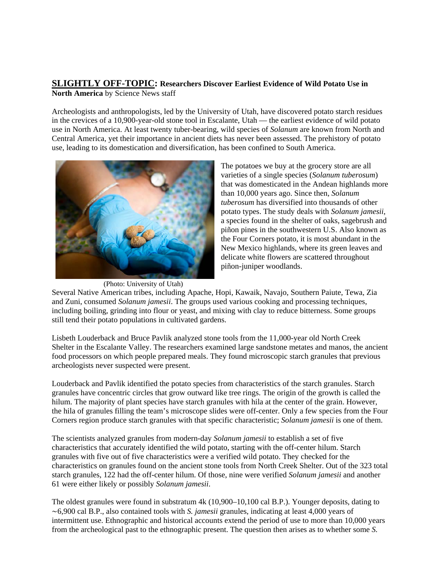# **SLIGHTLY OFF-TOPIC: Researchers Discover Earliest Evidence of Wild Potato Use in North America** by Science News staff

Archeologists and anthropologists, led by the University of Utah, have discovered potato starch residues in the crevices of a 10,900-year-old stone tool in Escalante, Utah — the earliest evidence of wild potato use in North America. At least twenty tuber-bearing, wild species of *Solanum* are known from North and Central America, yet their importance in ancient diets has never been assessed. The prehistory of potato use, leading to its domestication and diversification, has been confined to South America.



The potatoes we buy at the grocery store are all varieties of a single species (*Solanum tuberosum*) that was domesticated in the Andean highlands more than 10,000 years ago. Since then, *Solanum tuberosum* has diversified into thousands of other potato types. The study deals with *Solanum jamesii*, a species found in the shelter of oaks, sagebrush and piñon pines in the southwestern U.S. Also known as the Four Corners potato, it is most abundant in the New Mexico highlands, where its green leaves and delicate white flowers are scattered throughout piñon-juniper woodlands.

Several Native American tribes, including Apache, Hopi, Kawaik, Navajo, Southern Paiute, Tewa, Zia and Zuni, consumed *Solanum jamesii*. The groups used various cooking and processing techniques, including boiling, grinding into flour or yeast, and mixing with clay to reduce bitterness. Some groups still tend their potato populations in cultivated gardens.

Lisbeth Louderback and Bruce Pavlik analyzed stone tools from the 11,000-year old North Creek Shelter in the Escalante Valley. The researchers examined large sandstone metates and manos, the ancient food processors on which people prepared meals. They found microscopic starch granules that previous archeologists never suspected were present.

Louderback and Pavlik identified the potato species from characteristics of the starch granules. Starch granules have concentric circles that grow outward like tree rings. The origin of the growth is called the hilum. The majority of plant species have starch granules with hila at the center of the grain. However, the hila of granules filling the team's microscope slides were off-center. Only a few species from the Four Corners region produce starch granules with that specific characteristic; *Solanum jamesii* is one of them.

The scientists analyzed granules from modern-day *Solanum jamesii* to establish a set of five characteristics that accurately identified the wild potato, starting with the off-center hilum. Starch granules with five out of five characteristics were a verified wild potato. They checked for the characteristics on granules found on the ancient stone tools from North Creek Shelter. Out of the 323 total starch granules, 122 had the off-center hilum. Of those, nine were verified *Solanum jamesii* and another 61 were either likely or possibly *Solanum jamesii*.

The oldest granules were found in substratum 4k (10,900–10,100 cal B.P.). Younger deposits, dating to ∼6,900 cal B.P., also contained tools with *S. jamesii* granules, indicating at least 4,000 years of intermittent use. Ethnographic and historical accounts extend the period of use to more than 10,000 years from the archeological past to the ethnographic present. The question then arises as to whether some *S.*